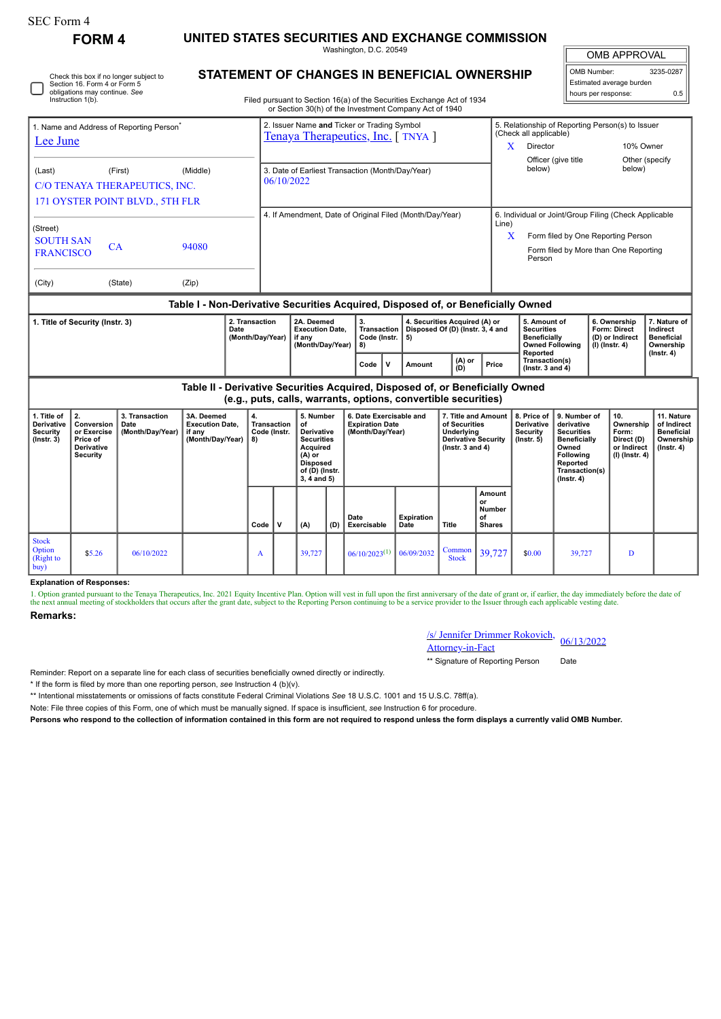| <b>SEC Form 4</b>                                                                                 |                                                                                    |                                            |                                                                                  |                                                                    |                                                                            |                                                                                                                                         |                                         |                                                                                                                                  |                           |                                                                                                            |                                                                                                                                                                       |                                                                  |                                                                                                                                                              |                                                                          |                                                                            |                                                                                 |  |
|---------------------------------------------------------------------------------------------------|------------------------------------------------------------------------------------|--------------------------------------------|----------------------------------------------------------------------------------|--------------------------------------------------------------------|----------------------------------------------------------------------------|-----------------------------------------------------------------------------------------------------------------------------------------|-----------------------------------------|----------------------------------------------------------------------------------------------------------------------------------|---------------------------|------------------------------------------------------------------------------------------------------------|-----------------------------------------------------------------------------------------------------------------------------------------------------------------------|------------------------------------------------------------------|--------------------------------------------------------------------------------------------------------------------------------------------------------------|--------------------------------------------------------------------------|----------------------------------------------------------------------------|---------------------------------------------------------------------------------|--|
| <b>FORM 4</b>                                                                                     |                                                                                    |                                            |                                                                                  |                                                                    | UNITED STATES SECURITIES AND EXCHANGE COMMISSION<br>Washington, D.C. 20549 |                                                                                                                                         |                                         |                                                                                                                                  |                           |                                                                                                            |                                                                                                                                                                       |                                                                  |                                                                                                                                                              | OMB APPROVAL                                                             |                                                                            |                                                                                 |  |
|                                                                                                   | Section 16. Form 4 or Form 5<br>obligations may continue. See<br>Instruction 1(b). | Check this box if no longer subject to     | STATEMENT OF CHANGES IN BENEFICIAL OWNERSHIP                                     |                                                                    |                                                                            |                                                                                                                                         |                                         | Filed pursuant to Section 16(a) of the Securities Exchange Act of 1934<br>or Section 30(h) of the Investment Company Act of 1940 |                           |                                                                                                            |                                                                                                                                                                       |                                                                  |                                                                                                                                                              | OMB Number:                                                              | Estimated average burden<br>hours per response:                            | 3235-0287<br>0.5                                                                |  |
| 1. Name and Address of Reporting Person<br>Lee June                                               |                                                                                    |                                            |                                                                                  |                                                                    |                                                                            |                                                                                                                                         |                                         | 2. Issuer Name and Ticker or Trading Symbol<br>Tenaya Therapeutics, Inc. [TNYA]                                                  |                           |                                                                                                            | 5. Relationship of Reporting Person(s) to Issuer<br>(Check all applicable)<br>Director<br>10% Owner<br>X<br>Officer (give title<br>Other (specify<br>below)<br>below) |                                                                  |                                                                                                                                                              |                                                                          |                                                                            |                                                                                 |  |
| (Last)<br>(First)<br>(Middle)<br>C/O TENAYA THERAPEUTICS, INC.<br>171 OYSTER POINT BLVD., 5TH FLR |                                                                                    |                                            |                                                                                  |                                                                    | 3. Date of Earliest Transaction (Month/Day/Year)<br>06/10/2022             |                                                                                                                                         |                                         |                                                                                                                                  |                           |                                                                                                            |                                                                                                                                                                       |                                                                  |                                                                                                                                                              |                                                                          |                                                                            |                                                                                 |  |
| (Street)<br><b>SOUTH SAN</b><br>CA<br>94080<br><b>FRANCISCO</b>                                   |                                                                                    |                                            |                                                                                  |                                                                    | 4. If Amendment, Date of Original Filed (Month/Day/Year)                   |                                                                                                                                         |                                         |                                                                                                                                  |                           |                                                                                                            |                                                                                                                                                                       |                                                                  | 6. Individual or Joint/Group Filing (Check Applicable<br>Line)<br>X<br>Form filed by One Reporting Person<br>Form filed by More than One Reporting<br>Person |                                                                          |                                                                            |                                                                                 |  |
| (City)<br>(State)<br>(Zip)                                                                        |                                                                                    |                                            |                                                                                  |                                                                    |                                                                            |                                                                                                                                         |                                         |                                                                                                                                  |                           |                                                                                                            |                                                                                                                                                                       |                                                                  |                                                                                                                                                              |                                                                          |                                                                            |                                                                                 |  |
|                                                                                                   |                                                                                    |                                            | Table I - Non-Derivative Securities Acquired, Disposed of, or Beneficially Owned |                                                                    |                                                                            |                                                                                                                                         |                                         |                                                                                                                                  |                           |                                                                                                            |                                                                                                                                                                       |                                                                  |                                                                                                                                                              |                                                                          |                                                                            |                                                                                 |  |
| 2. Transaction<br>1. Title of Security (Instr. 3)<br>Date<br>(Month/Day/Year)                     |                                                                                    |                                            |                                                                                  | 2A. Deemed<br><b>Execution Date,</b><br>if any<br>(Month/Day/Year) |                                                                            |                                                                                                                                         | 3.<br>Transaction<br>Code (Instr.<br>8) | 4. Securities Acquired (A) or<br>Disposed Of (D) (Instr. 3, 4 and<br>5)                                                          |                           |                                                                                                            | 5. Amount of<br><b>Securities</b><br><b>Beneficially</b><br><b>Owned Following</b>                                                                                    |                                                                  |                                                                                                                                                              | 6. Ownership<br><b>Form: Direct</b><br>(D) or Indirect<br>(I) (Instr. 4) | 7. Nature of<br>Indirect<br><b>Beneficial</b><br>Ownership                 |                                                                                 |  |
|                                                                                                   |                                                                                    |                                            |                                                                                  |                                                                    |                                                                            |                                                                                                                                         |                                         | $\mathsf{v}$<br>Code                                                                                                             | <b>Amount</b>             | Reported<br>Transaction(s)<br>(A) or<br>Price<br>(D)<br>(Instr. $3$ and $4$ )                              |                                                                                                                                                                       |                                                                  |                                                                                                                                                              |                                                                          | $($ Instr. 4 $)$                                                           |                                                                                 |  |
|                                                                                                   |                                                                                    |                                            | Table II - Derivative Securities Acquired, Disposed of, or Beneficially Owned    |                                                                    |                                                                            |                                                                                                                                         |                                         | (e.g., puts, calls, warrants, options, convertible securities)                                                                   |                           |                                                                                                            |                                                                                                                                                                       |                                                                  |                                                                                                                                                              |                                                                          |                                                                            |                                                                                 |  |
| 1. Title of<br>Derivative<br><b>Security</b><br>$($ Instr. 3 $)$                                  | 2.<br>Conversion<br>or Exercise<br>Price of<br>Derivative<br><b>Security</b>       | 3. Transaction<br>Date<br>(Month/Day/Year) | 3A. Deemed<br><b>Execution Date,</b><br>if any<br>(Month/Day/Year)               | 4.<br><b>Transaction</b><br>Code (Instr.<br>8)                     |                                                                            | 5. Number<br>of<br>Derivative<br><b>Securities</b><br><b>Acquired</b><br>(A) or<br><b>Disposed</b><br>of (D) (Instr.<br>$3, 4$ and $5)$ |                                         | 6. Date Exercisable and<br><b>Expiration Date</b><br>(Month/Day/Year)                                                            |                           | 7. Title and Amount<br>of Securities<br>Underlying<br><b>Derivative Security</b><br>$($ Instr. 3 and 4 $)$ |                                                                                                                                                                       | 8. Price of<br>Derivative<br><b>Security</b><br>$($ lnstr. 5 $)$ | 9. Number of<br>derivative<br><b>Securities</b><br><b>Beneficially</b><br>Owned<br>Following<br>Reported<br>Transaction(s)<br>$($ Instr. 4 $)$               |                                                                          | 10.<br>Ownership<br>Form:<br>Direct (D)<br>or Indirect<br>$(I)$ (Instr. 4) | 11. Nature<br>of Indirect<br><b>Beneficial</b><br>Ownership<br>$($ Instr. 4 $)$ |  |
|                                                                                                   |                                                                                    |                                            |                                                                                  | Code                                                               | $\mathbf v$                                                                | (A)                                                                                                                                     | (D)                                     | Date<br>Exercisable                                                                                                              | <b>Expiration</b><br>Date | Title                                                                                                      | Amount<br>or<br>Number<br>οf<br><b>Shares</b>                                                                                                                         |                                                                  |                                                                                                                                                              |                                                                          |                                                                            |                                                                                 |  |
| <b>Stock</b><br>Option<br>(Right to<br>buv)                                                       | \$5.26                                                                             | 06/10/2022                                 |                                                                                  | A                                                                  |                                                                            | 39,727                                                                                                                                  |                                         | $06/10/2023^{(1)}$                                                                                                               | 06/09/2032                | Common<br><b>Stock</b>                                                                                     | 39,727                                                                                                                                                                | \$0.00                                                           | 39,727                                                                                                                                                       |                                                                          | D                                                                          |                                                                                 |  |

## **Explanation of Responses:**

1. Option granted pursuant to the Tenaya Therapeutics, Inc. 2021 Equity Incentive Plan. Option will vest in full upon the first anniversary of the date of grant or, if earlier, the day immediately before the date of the next annual meeting of stockholders that occurs after the grant date, subject to the Reporting Person continuing to be a service provider to the Issuer through each applicable vesting date

## **Remarks:**

| /s/ Jennifer Drimmer Rokovich, 06/13/2022 |  |  |  |  |
|-------------------------------------------|--|--|--|--|
| <b>Attorney-in-Fact</b>                   |  |  |  |  |

\*\* Signature of Reporting Person Date

Reminder: Report on a separate line for each class of securities beneficially owned directly or indirectly.

\* If the form is filed by more than one reporting person, *see* Instruction 4 (b)(v).

\*\* Intentional misstatements or omissions of facts constitute Federal Criminal Violations *See* 18 U.S.C. 1001 and 15 U.S.C. 78ff(a).

Note: File three copies of this Form, one of which must be manually signed. If space is insufficient, *see* Instruction 6 for procedure.

**Persons who respond to the collection of information contained in this form are not required to respond unless the form displays a currently valid OMB Number.**